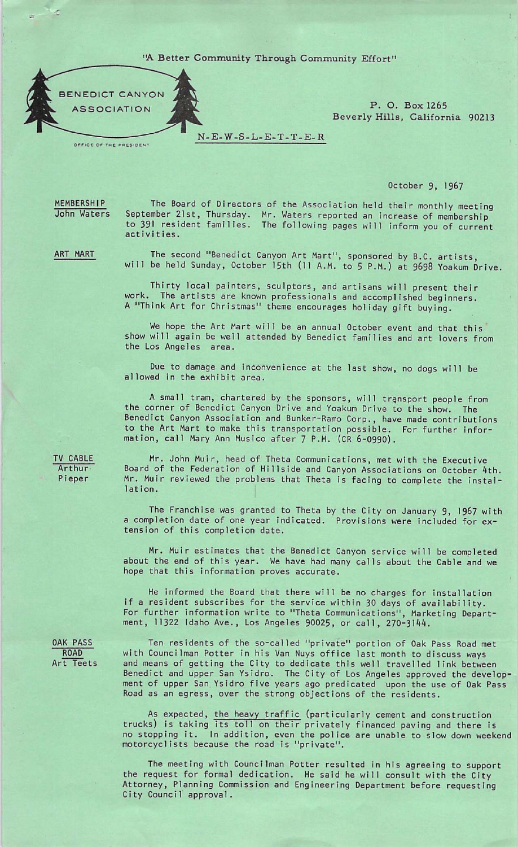## 'A Better Community Through Community Effort"



OFFICE OF THE PRESIDENT

Beverly Hills, California 90213

N-E-W-S-L-E-T-T-E-R

## October 9, 1967

MEMBERSHIP John Waters

The Board of Directors of the Association held their monthly meeting September 21st, Thursday. Mr. Waters reported an increase of membership to 391 resident families. The following pages will inform you of current activities.

ART MART

The second "Benedict Canyon Art Mart", sponsored by B.C. artists, will be held Sunday, October 15th (11 A.M. to 5 P.M.) at 9698 Yoakum Drive.

Thirty local painters, sculptors, and artisans will present their<br>work. The artists are known professionals and accomplished beginners. A "Think Art for Christmas" theme encourages holiday gift buying.

We hope the Art Mart will be an annual October event and that this show will again be well attended by Benedict families and art lovers from the Los Angeles area.

Due to damage and inconvenience at the last show, no dogs will be allowed in the exhibit area.

A small tram, chartered by the sponsors, will transport people from the corner of Benedict Canyon Drive and Yoakum Drive to the show. The Benedict Canyon Association and Bunker-Ramo Corp., have made contributions to the Art Mart to make this transportation possible. For further information, call Mary Ann Musico after 7 P.M. (CR 6-0990).

TV CABLE Arthur Pieper

Mr. John Muir, head of Theta Communications, met with the Executive Board of the Federation of Hillside and Canyon Associations on October ^th. Mr. Muir reviewed the problems that Theta is facing to complete the instal lation.

The Franchise was granted to Theta by the City on January 9, 1967 with a completion date of one year indicated. Provisions were included for ex tension of this completion date.

Mr. Muir estimates that the Benedict Canyon service will be completed about the end of this year. We have had many calls about the Cable and we hope that this information proves accurate.

He informed the Board that there will be no charges for installation if a resident subscribes for the service within 30 days of availability. For further information write to "Theta Communications", Marketing Department, 11322 Idaho Ave., Los Angeles 90025, or call, 270-3144.

OAK PASS ROAD Art Teets

Ten residents of the so-called "private" portion of Oak Pass Road met with Councilman Potter in his Van Nuys office last month to discuss ways and means of getting the City to dedicate this well travelled link between Benedict and upper San Ysidro. The City of Los Angeles approved the develop ment of upper San Ysidro five years ago predicated upon the use of Oak Pass Road as an egress, over the strong objections of the residents.

As expected, the heavy traffic (particularly cement and construction trucks) is taking its toll on their privately financed paving and there is no stopping it. In addition, even the police are unable to slow down weekend motorcyclists because the road is "private".

The meeting with Councilman Potter resulted in his agreeing to support the request for formal dedication. He said he will consult with the City Attorney, Planning Commission and Engineering Department before requesting City Council approval.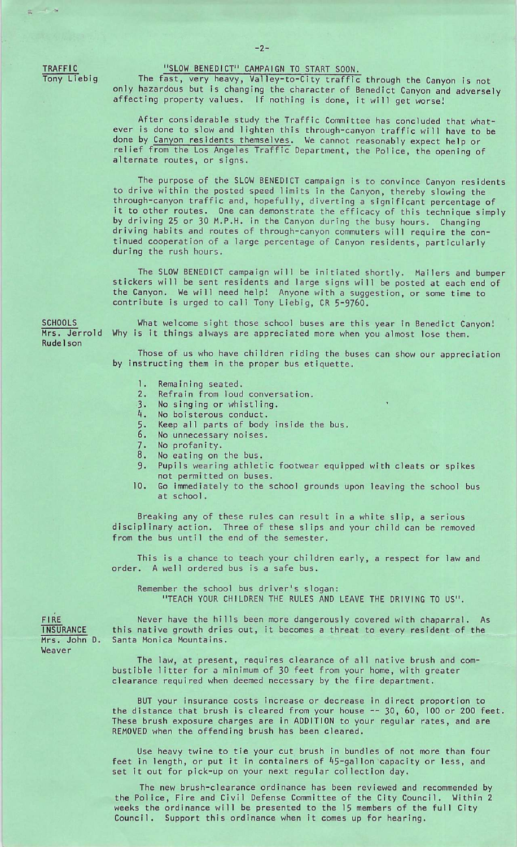TRAFFIC Tony Liebig

## "SLOW BENEDICT" CAMPAIGN TO START SOON.

The fast, very heavy, Valley-to-City traffic through the Canyon is not only hazardous but is changing the character of Benedict Canyon and adversely affecting property values. If nothing is done, it will get worse!

After considerable study the Traffic Committee has concluded that whatever is done to slow and lighten this through-canyon traffic will have to be done by Canyon residents themselves. We cannot reasonably expect help or relief from the Los Angeles Traffic Department, the Police, the opening of alternate routes, or signs.

The purpose of the SLOW BENEDICT campaign is to convince Canyon residents to drive within the posted speed limits in the Canyon, thereby slowing the through-canyon traffic and, hopefully, diverting a significant percentage of it to other routes. One can demonstrate the efficacy of this technique simply by driving 25 or 30 M.P.H. in the Canyon during the busy hours. Changing driving habits and routes of through-canyon commuters will require the con tinued cooperation of a large percentage of Canyon residents, particularly during the rush hours.

The SLOW BENEDICT campaign will be initiated shortly. Mailers and bumper stickers will be sent residents and large signs will be posted at each end of the Canyon. We will need help! Anyone with a suggestion, or some time to contribute is urged to call Tony Liebig, CR 5-9760.

Rudelson **SCHOOLS** 

What welcome sight those school buses are this year in Benedict Canyon! Mrs. Jerrold Why is it things always are appreciated more when you almost lose them.

> Those of us who have children riding the buses can show our appreciation by instructing them in the proper bus etiquette.

- 1. Remaining seated.
- 2. Refrain from loud conversation.<br>3. No singing or whistling.
- 3. No singing or whistling.<br>4. No boisterous conduct.
- No boisterous conduct.
- 5. Keep all parts of body inside the bus.<br>6. No unnecessary noises.
- No unnecessary noises.
- 7. No profanity.<br>8. No eating on
- No eating on the bus.
- 9. Pupils wearing athletic footwear equipped with cleats or spikes
- not permitted on buses.
- 10. Go immediately to the school grounds upon leaving the school bus at school.

Breaking any of these rules can result in a white slip, a serious disciplinary action. Three of these slips and your child can be removed from the bus until the end of the semester.

This is a chance to teach your children early, a respect for law and order. A well ordered bus is a safe bus.

Remember the school bus driver's slogan: "TEACH YOUR CHILDREN THE RULES AND LEAVE THE DRIVING TO US".

Never have the hills been more dangerously covered with chaparral. As this native growth dries out, it becomes a threat to every resident of the Santa Monica Mountains.

The law, at present, requires clearance of all native brush and com bustible litter for a minimum of 30 feet from your home, with greater clearance required when deemed necessary by the fire department.

BUT your insurance costs increase or decrease in direct proportion to the distance that brush is cleared from your house -- 30, 60, 100 or 200 feet. These brush exposure charges are in ADDITION to your regular rates, and are REMOVED when the offending brush has been cleared.

Use heavy twine to tie your cut brush in bundles of not more than four feet in length, or put it in containers of 45-gallon capacity or less, and set it out for pick-up on your next regular collection day.

The new brush-clearance ordinance has been reviewed and recommended by the Police, Fire and Civil Defense Committee of the City Council. Within 2 weeks the ordinance will be presented to the 15 members of the full City Council. Support this ordinance when it comes up for hearing.

FIRE INSURANCE Mrs. John D. Weaver